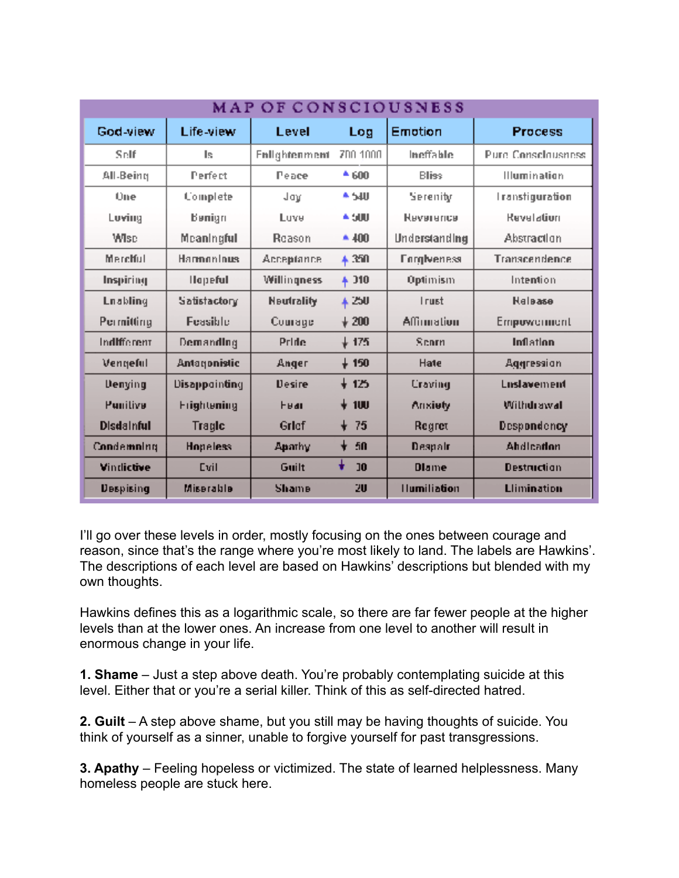| MAP OF CONSCIOUSNESS |                    |                    |                 |                    |                           |
|----------------------|--------------------|--------------------|-----------------|--------------------|---------------------------|
| God-view             | Life-view          | Level              | Log             | Emotion            | <b>Process</b>            |
| Self                 | ls.                | Enlightenment      | ZDO 1000        | Ineffable          | <b>Pure Consciousness</b> |
| All-Being            | Perfect            | Peace              | 4600            | <b>Bliss</b>       | <b>Illumination</b>       |
| <b>Une</b>           | Complete           | Jay                | W <sup>2</sup>  | Serenity           | <b>Iranstiguration</b>    |
| Loving               | Benign             | Luve               | A SUU           | <b>Немателся</b>   | Revelation                |
| <b>Wisc</b>          | Meaningful         | Reason             | $*400$          | Understanding      | Abstraction               |
| Merchiul             | Harmoninus         | Acceptance         | # 350           | <b>Enrgiveness</b> | Transcendence             |
| Inspiring            | <b>Hopeful</b>     | <b>Willingness</b> | $+ 310$         | Optimism           | Intention                 |
| <b>Lnabling</b>      | Satistactory       | <b>Neutrality</b>  | 4250            | <b>Irust</b>       | <b>Halaase</b>            |
| Permitting           | Feasible           | Comage             | $\frac{1}{200}$ | Affirmation        | Empowerment               |
| Indifferent          | Demanding          | Pride              | $+175$          | Scorn              | Inflation                 |
| Vengeful             | Antarjonistic      | Anger              | $+150$          | Hate               | Aggression                |
| Denying              | Disappointing      | <b>Desire</b>      | + 125           | Craving            | Luslavement               |
| Punilive             | <b>Frightening</b> | <b>Hall</b>        | $\sqrt{100}$    | Anxiety            | Withdrawal                |
| <b>Disdainful</b>    | Tragic             | Grief              | $+ 75$          | Regret             | Despondency               |
| Condemning           | <b>Hopeless</b>    | Apathy             | -50             | Despair            | <b>Ahdleadon</b>          |
| Vindictive           | Evil               | Guilt              | J <sub>0</sub>  | <b>Dlame</b>       | <b>Destruction</b>        |
| <b>Despising</b>     | <b>Miserable</b>   | <b>Shame</b>       | 20              | <b>Humiliation</b> | <b>Llimination</b>        |

I'll go over these levels in order, mostly focusing on the ones between courage and reason, since that's the range where you're most likely to land. The labels are Hawkins'. The descriptions of each level are based on Hawkins' descriptions but blended with my own thoughts.

Hawkins defines this as a logarithmic scale, so there are far fewer people at the higher levels than at the lower ones. An increase from one level to another will result in enormous change in your life.

**1. Shame** – Just a step above death. You're probably contemplating suicide at this level. Either that or you're a serial killer. Think of this as self-directed hatred.

**2. Guilt** – A step above shame, but you still may be having thoughts of suicide. You think of yourself as a sinner, unable to forgive yourself for past transgressions.

**3. Apathy** – Feeling hopeless or victimized. The state of learned helplessness. Many homeless people are stuck here.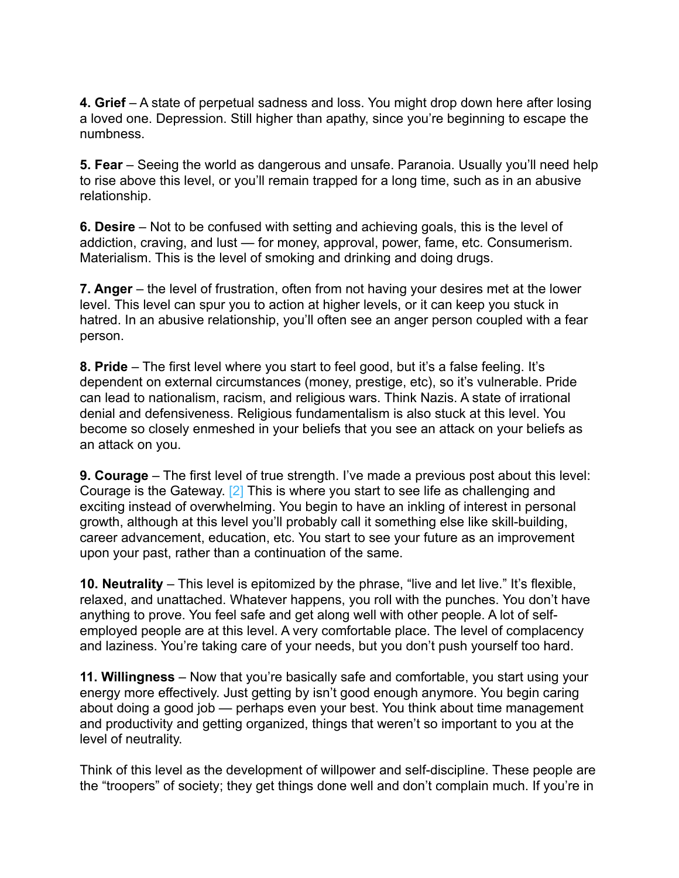**4. Grief** – A state of perpetual sadness and loss. You might drop down here after losing a loved one. Depression. Still higher than apathy, since you're beginning to escape the numbness.

**5. Fear** – Seeing the world as dangerous and unsafe. Paranoia. Usually you'll need help to rise above this level, or you'll remain trapped for a long time, such as in an abusive relationship.

**6. Desire** – Not to be confused with setting and achieving goals, this is the level of addiction, craving, and lust — for money, approval, power, fame, etc. Consumerism. Materialism. This is the level of smoking and drinking and doing drugs.

**7. Anger** – the level of frustration, often from not having your desires met at the lower level. This level can spur you to action at higher levels, or it can keep you stuck in hatred. In an abusive relationship, you'll often see an anger person coupled with a fear person.

**8. Pride** – The first level where you start to feel good, but it's a false feeling. It's dependent on external circumstances (money, prestige, etc), so it's vulnerable. Pride can lead to nationalism, racism, and religious wars. Think Nazis. A state of irrational denial and defensiveness. Religious fundamentalism is also stuck at this level. You become so closely enmeshed in your beliefs that you see an attack on your beliefs as an attack on you.

**9. Courage** – The first level of true strength. I've made a previous post about this level: Courage is the Gateway. [2] This is where you start to see life as challenging and exciting instead of overwhelming. You begin to have an inkling of interest in personal growth, although at this level you'll probably call it something else like skill-building, career advancement, education, etc. You start to see your future as an improvement upon your past, rather than a continuation of the same.

**10. Neutrality** – This level is epitomized by the phrase, "live and let live." It's flexible, relaxed, and unattached. Whatever happens, you roll with the punches. You don't have anything to prove. You feel safe and get along well with other people. A lot of selfemployed people are at this level. A very comfortable place. The level of complacency and laziness. You're taking care of your needs, but you don't push yourself too hard.

**11. Willingness** – Now that you're basically safe and comfortable, you start using your energy more effectively. Just getting by isn't good enough anymore. You begin caring about doing a good job — perhaps even your best. You think about time management and productivity and getting organized, things that weren't so important to you at the level of neutrality.

Think of this level as the development of willpower and self-discipline. These people are the "troopers" of society; they get things done well and don't complain much. If you're in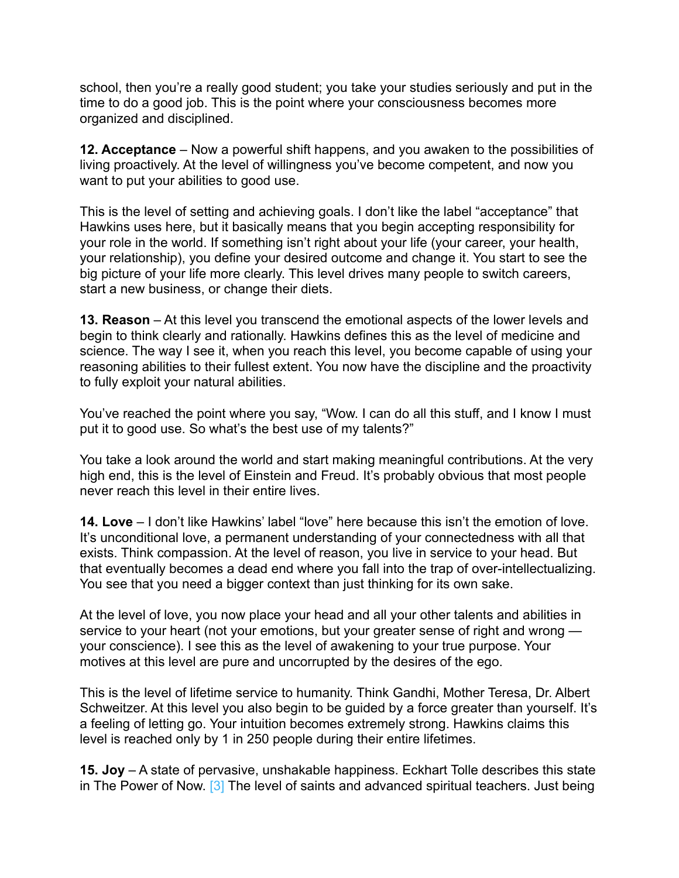school, then you're a really good student; you take your studies seriously and put in the time to do a good job. This is the point where your consciousness becomes more organized and disciplined.

**12. Acceptance** – Now a powerful shift happens, and you awaken to the possibilities of living proactively. At the level of willingness you've become competent, and now you want to put your abilities to good use.

This is the level of setting and achieving goals. I don't like the label "acceptance" that Hawkins uses here, but it basically means that you begin accepting responsibility for your role in the world. If something isn't right about your life (your career, your health, your relationship), you define your desired outcome and change it. You start to see the big picture of your life more clearly. This level drives many people to switch careers, start a new business, or change their diets.

**13. Reason** – At this level you transcend the emotional aspects of the lower levels and begin to think clearly and rationally. Hawkins defines this as the level of medicine and science. The way I see it, when you reach this level, you become capable of using your reasoning abilities to their fullest extent. You now have the discipline and the proactivity to fully exploit your natural abilities.

You've reached the point where you say, "Wow. I can do all this stuff, and I know I must put it to good use. So what's the best use of my talents?"

You take a look around the world and start making meaningful contributions. At the very high end, this is the level of Einstein and Freud. It's probably obvious that most people never reach this level in their entire lives.

**14. Love** – I don't like Hawkins' label "love" here because this isn't the emotion of love. It's unconditional love, a permanent understanding of your connectedness with all that exists. Think compassion. At the level of reason, you live in service to your head. But that eventually becomes a dead end where you fall into the trap of over-intellectualizing. You see that you need a bigger context than just thinking for its own sake.

At the level of love, you now place your head and all your other talents and abilities in service to your heart (not your emotions, but your greater sense of right and wrong your conscience). I see this as the level of awakening to your true purpose. Your motives at this level are pure and uncorrupted by the desires of the ego.

This is the level of lifetime service to humanity. Think Gandhi, Mother Teresa, Dr. Albert Schweitzer. At this level you also begin to be guided by a force greater than yourself. It's a feeling of letting go. Your intuition becomes extremely strong. Hawkins claims this level is reached only by 1 in 250 people during their entire lifetimes.

**15. Joy** – A state of pervasive, unshakable happiness. Eckhart Tolle describes this state in The Power of Now. [3] The level of saints and advanced spiritual teachers. Just being